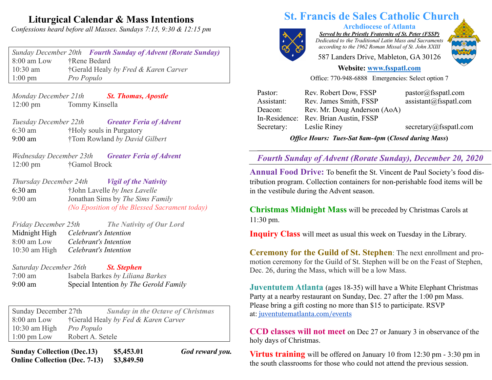## **Liturgical Calendar & Mass Intentions**

*Confessions heard before all Masses. Sundays 7:15, 9:30 & 12:15 pm*

*Sunday December 20th Fourth Sunday of Advent (Rorate Sunday)* 8:00 am Low †Rene Bedard 10:30 am †Gerald Healy *by Fred & Karen Carver* 1:00 pm *Pro Populo*

*Monday December 21th St. Thomas, Apostle* 12:00 pm Tommy Kinsella

*Tuesday December 22th Greater Feria of Advent* 6:30 am †Holy souls in Purgatory 9:00 am †Tom Rowland *by David Gilbert*

*Wednesday December 23th Greater Feria of Advent* 12:00 pm †Gamol Brock

*Thursday December 24th Vigil of the Nativity* 6:30 am †John Lavelle *by Ines Lavelle* 9:00 am Jonathan Sims by *The Sims Family (No Eposition of the Blessed Sacrament today)*

*Friday December 25th The Nativity of Our Lord* Midnight High *Celebrant's Intention* 8:00 am Low *Celebrant's Intention* 10:30 am High *Celebrant's Intention*

*Saturday December 26th St. Stephen* 7:00 am Isabela Barkes *by Liliana Barkes* 9:00 am Special Intention *by The Gerold Family*

Sunday December 27th *Sunday in the Octave of Christmas* 8:00 am Low †Gerald Healy *by Fed & Karen Carver* 10:30 am High *Pro Populo* 1:00 pm Low Robert A. Setele

**Sunday Collection (Dec.13) \$5,453.01** *God reward you.* **Online Collection (Dec. 7-13) \$3,849.50**

# **St. Francis de Sales Catholic Church**

**Archdiocese of Atlanta** *Served by the Priestly Fraternity of St. Peter (FSSP)*

*Dedicated to the Traditional Latin Mass and Sacraments according to the 1962 Roman Missal of St. John XXIII*

587 Landers Drive, Mableton, GA 30126

### **Website: www.fsspatl.com**

Office: 770-948-6888 Emergencies: Select option 7

| <b>Office Hours: Tues-Sat 8am-4pm (Closed during Mass)</b> |                                       |                        |
|------------------------------------------------------------|---------------------------------------|------------------------|
| Secretary:                                                 | Leslie Riney                          | secretary@fsspatl.com  |
|                                                            | In-Residence: Rev. Brian Austin, FSSP |                        |
| Deacon:                                                    | Rev. Mr. Doug Anderson (AoA)          |                        |
| Assistant:                                                 | Rev. James Smith, FSSP                | assignment@fsspath.com |
| Pastor:                                                    | Rev. Robert Dow, FSSP                 | pastor@fsspath.com     |

**\_\_\_\_\_\_\_\_\_\_\_\_\_\_\_\_\_\_\_\_\_\_\_\_\_\_\_\_\_\_\_\_\_\_\_\_\_\_\_\_\_\_\_\_\_\_\_\_\_\_\_\_\_\_\_\_\_\_\_\_\_\_\_\_\_\_\_\_\_\_\_\_\_\_\_\_\_\_\_\_\_\_\_\_\_\_\_\_\_\_\_\_\_\_\_\_\_\_\_\_\_\_\_\_\_\_\_\_\_\_\_\_\_\_\_\_\_\_\_\_\_ Fourth Sunday of Advent (Rorate Sunday), December 20, 2020** 

**Annual Food Drive:** To benefit the St. Vincent de Paul Society's food distribution program. Collection containers for non-perishable food items will be in the vestibule during the Advent season.

**Christmas Midnight Mass** will be preceded by Christmas Carols at 11:30 pm.

**Inquiry Class** will meet as usual this week on Tuesday in the Library.

**Ceremony for the Guild of St. Stephen**: The next enrollment and promotion ceremony for the Guild of St. Stephen will be on the Feast of Stephen, Dec. 26, during the Mass, which will be a low Mass.

**Juventutem Atlanta** (ages 18-35) will have a White Elephant Christmas Party at a nearby restaurant on Sunday, Dec. 27 after the 1:00 pm Mass. Please bring a gift costing no more than \$15 to participate. RSVP at: juventutematlanta.com/events

**CCD classes will not meet** on Dec 27 or January 3 in observance of the holy days of Christmas.

**Virtus training** will be offered on January 10 from 12:30 pm - 3:30 pm in the south classrooms for those who could not attend the previous session.